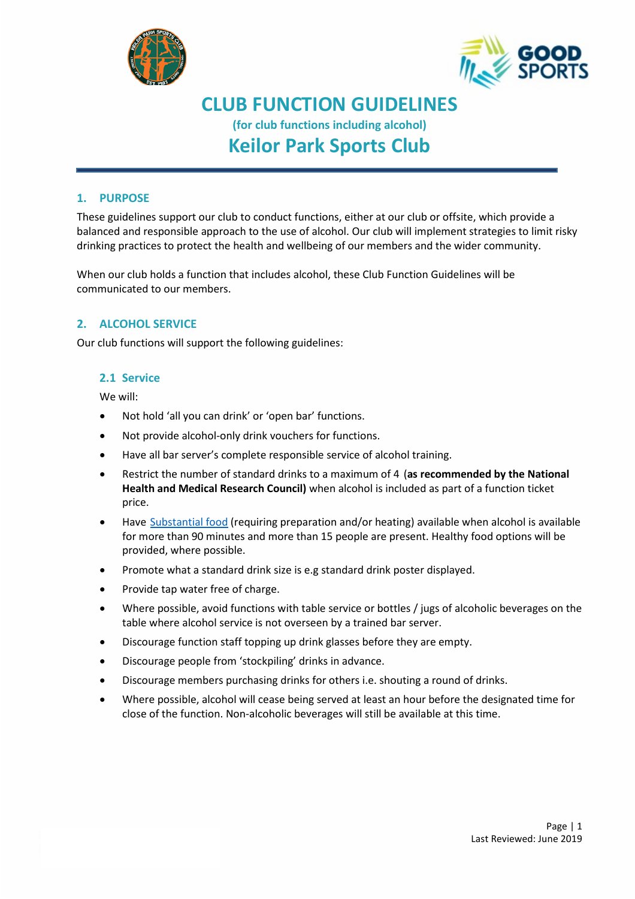



# **CLUB FUNCTION GUIDELINES**

**(for club functions including alcohol)**

# **Keilor Park Sports Club**

### **1. PURPOSE**

These guidelines support our club to conduct functions, either at our club or offsite, which provide a balanced and responsible approach to the use of alcohol. Our club will implement strategies to limit risky drinking practices to protect the health and wellbeing of our members and the wider community.

When our club holds a function that includes alcohol, these Club Function Guidelines will be communicated to our members.

## **2. ALCOHOL SERVICE**

Our club functions will support the following guidelines:

#### **2.1 Service**

We will:

- Not hold 'all you can drink' or 'open bar' functions.
- Not provide alcohol-only drink vouchers for functions.
- Have all bar server's complete responsible service of alcohol training.
- Restrict the number of standard drinks to a maximum of 4 (**as recommended by the National Health and Medical Research Council)** when alcohol is included as part of a function ticket price.
- Have [Substantial food](http://goodsports.com.au/wp-content/uploads/2016/08/gs-substantial-food-information-sheet-20170309-final.pdf) (requiring preparation and/or heating) available when alcohol is available for more than 90 minutes and more than 15 people are present. Healthy food options will be provided, where possible.
- Promote what a standard drink size is e.g standard drink poster displayed.
- Provide tap water free of charge.
- Where possible, avoid functions with table service or bottles / jugs of alcoholic beverages on the table where alcohol service is not overseen by a trained bar server.
- Discourage function staff topping up drink glasses before they are empty.
- Discourage people from 'stockpiling' drinks in advance.
- Discourage members purchasing drinks for others i.e. shouting a round of drinks.
- Where possible, alcohol will cease being served at least an hour before the designated time for close of the function. Non-alcoholic beverages will still be available at this time.